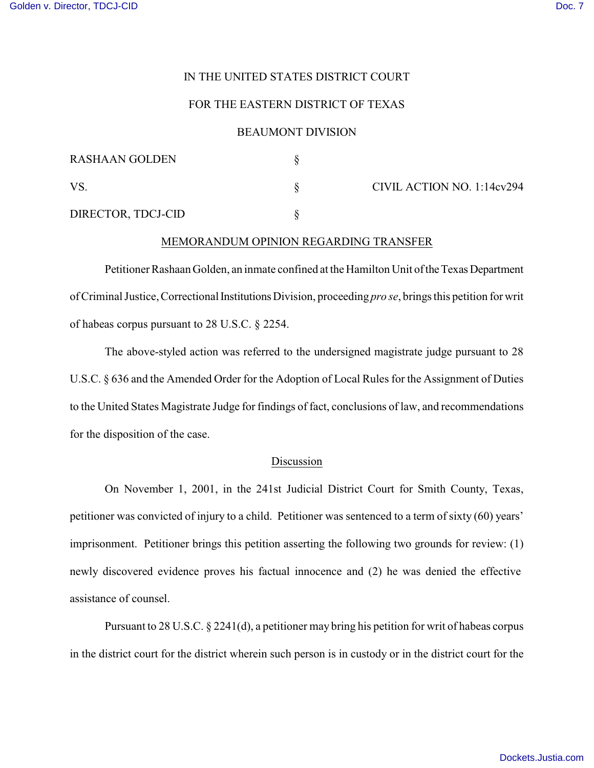# IN THE UNITED STATES DISTRICT COURT

## FOR THE EASTERN DISTRICT OF TEXAS

## BEAUMONT DIVISION

| <b>RASHAAN GOLDEN</b> |                            |
|-----------------------|----------------------------|
| <b>VS</b>             | CIVIL ACTION NO. 1:14cv294 |
| DIRECTOR, TDCJ-CID    |                            |

### MEMORANDUM OPINION REGARDING TRANSFER

Petitioner Rashaan Golden, an inmate confined at the Hamilton Unit of the Texas Department of Criminal Justice, Correctional Institutions Division, proceeding *pro se*, brings this petition for writ of habeas corpus pursuant to 28 U.S.C. § 2254.

The above-styled action was referred to the undersigned magistrate judge pursuant to 28 U.S.C. § 636 and the Amended Order for the Adoption of Local Rules for the Assignment of Duties to the United States Magistrate Judge for findings of fact, conclusions of law, and recommendations for the disposition of the case.

#### Discussion

On November 1, 2001, in the 241st Judicial District Court for Smith County, Texas, petitioner was convicted of injury to a child. Petitioner was sentenced to a term of sixty (60) years' imprisonment. Petitioner brings this petition asserting the following two grounds for review: (1) newly discovered evidence proves his factual innocence and (2) he was denied the effective assistance of counsel.

Pursuant to 28 U.S.C. § 2241(d), a petitioner may bring his petition for writ of habeas corpus in the district court for the district wherein such person is in custody or in the district court for the